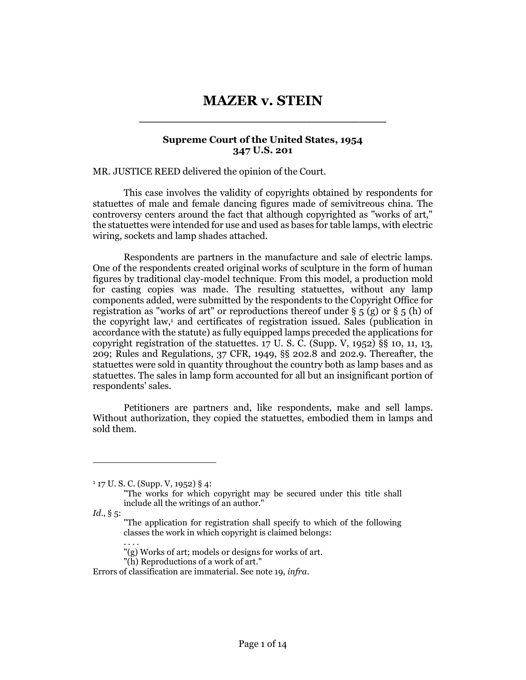## **MAZER v. STEIN** \_\_\_\_\_\_\_\_\_\_\_\_\_\_\_\_\_\_\_\_\_\_\_\_\_\_\_\_

## **Supreme Court of the United States, 1954 347 U.S. 201**

## MR. JUSTICE REED delivered the opinion of the Court.

This case involves the validity of copyrights obtained by respondents for statuettes of male and female dancing figures made of semivitreous china. The controversy centers around the fact that although copyrighted as "works of art," the statuettes were intended for use and used as bases for table lamps, with electric wiring, sockets and lamp shades attached.

Respondents are partners in the manufacture and sale of electric lamps. One of the respondents created original works of sculpture in the form of human figures by traditional clay-model technique. From this model, a production mold for casting copies was made. The resulting statuettes, without any lamp components added, were submitted by the respondents to the Copyright Office for registration as "works of art" or reproductions thereof under  $\S 5$  (g) or  $\S 5$  (h) of the copyright law, $<sup>1</sup>$  and certificates of registration issued. Sales (publication in</sup> accordance with the statute) as fully equipped lamps preceded the applications for copyright registration of the statuettes.  $17 \text{ U}$ . S. C. (Supp. V,  $1952$ ) §§ 10, 11, 13, 209; Rules and Regulations, 37 CFR, 1949, §§ 202.8 and 202.9. Thereafter, the statuettes were sold in quantity throughout the country both as lamp bases and as statuettes. The sales in lamp form accounted for all but an insignificant portion of respondents' sales.

Petitioners are partners and, like respondents, make and sell lamps. Without authorization, they copied the statuettes, embodied them in lamps and sold them.

 $1$  17 U.S.C. (Supp. V, 1952) § 4:

*Id*., § 5:

 $\overline{a}$ 

. . . . "(g) Works of art; models or designs for works of art.

<sup>&</sup>quot;The works for which copyright may be secured under this title shall include all the writings of an author."

<sup>&</sup>quot;The application for registration shall specify to which of the following classes the work in which copyright is claimed belongs:

<sup>&</sup>quot;(h) Reproductions of a work of art."

Errors of classification are immaterial. See note 19, *infra*.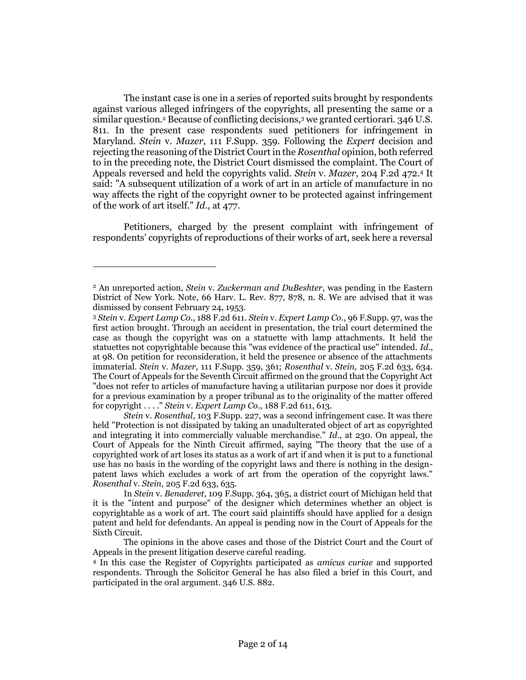The instant case is one in a series of reported suits brought by respondents against various alleged infringers of the copyrights, all presenting the same or a similar question.<sup>2</sup> Because of conflicting decisions,<sup>3</sup> we granted certiorari. 346 U.S. 811. In the present case respondents sued petitioners for infringement in Maryland. *Stein* v. *Mazer*, 111 F.Supp. 359. Following the *Expert* decision and rejecting the reasoning of the District Court in the *Rosenthal* opinion, both referred to in the preceding note, the District Court dismissed the complaint. The Court of Appeals reversed and held the copyrights valid. *Stein* v. *Mazer*, 204 F.2d 472.<sup>4</sup> It said: "A subsequent utilization of a work of art in an article of manufacture in no way affects the right of the copyright owner to be protected against infringement of the work of art itself." *Id*., at 477.

Petitioners, charged by the present complaint with infringement of respondents' copyrights of reproductions of their works of art, seek here a reversal

<sup>2</sup> An unreported action, *Stein* v. *Zuckerman and DuBeshter*, was pending in the Eastern District of New York. Note, 66 Harv. L. Rev. 877, 878, n. 8. We are advised that it was dismissed by consent February 24, 1953.

<sup>3</sup> *Stein* v. *Expert Lamp Co*., 188 F.2d 611. *Stein* v. *Expert Lamp Co*., 96 F.Supp. 97, was the first action brought. Through an accident in presentation, the trial court determined the case as though the copyright was on a statuette with lamp attachments. It held the statuettes not copyrightable because this "was evidence of the practical use" intended. *Id*., at 98. On petition for reconsideration, it held the presence or absence of the attachments immaterial. *Stein* v. *Mazer*, 111 F.Supp. 359, 361; *Rosenthal* v. *Stein*, 205 F.2d 633, 634. The Court of Appeals for the Seventh Circuit affirmed on the ground that the Copyright Act "does not refer to articles of manufacture having a utilitarian purpose nor does it provide for a previous examination by a proper tribunal as to the originality of the matter offered for copyright . . . ." *Stein* v. *Expert Lamp Co*., 188 F.2d 611, 613.

*Stein* v. *Rosenthal*, 103 F.Supp. 227, was a second infringement case. It was there held "Protection is not dissipated by taking an unadulterated object of art as copyrighted and integrating it into commercially valuable merchandise." *Id*., at 230. On appeal, the Court of Appeals for the Ninth Circuit affirmed, saying "The theory that the use of a copyrighted work of art loses its status as a work of art if and when it is put to a functional use has no basis in the wording of the copyright laws and there is nothing in the designpatent laws which excludes a work of art from the operation of the copyright laws." *Rosenthal* v. *Stein*, 205 F.2d 633, 635.

In *Stein* v. *Benaderet*, 109 F.Supp. 364, 365, a district court of Michigan held that it is the "intent and purpose" of the designer which determines whether an object is copyrightable as a work of art. The court said plaintiffs should have applied for a design patent and held for defendants. An appeal is pending now in the Court of Appeals for the Sixth Circuit.

The opinions in the above cases and those of the District Court and the Court of Appeals in the present litigation deserve careful reading.

<sup>4</sup> In this case the Register of Copyrights participated as *amicus curiae* and supported respondents. Through the Solicitor General he has also filed a brief in this Court, and participated in the oral argument. 346 U.S. 882.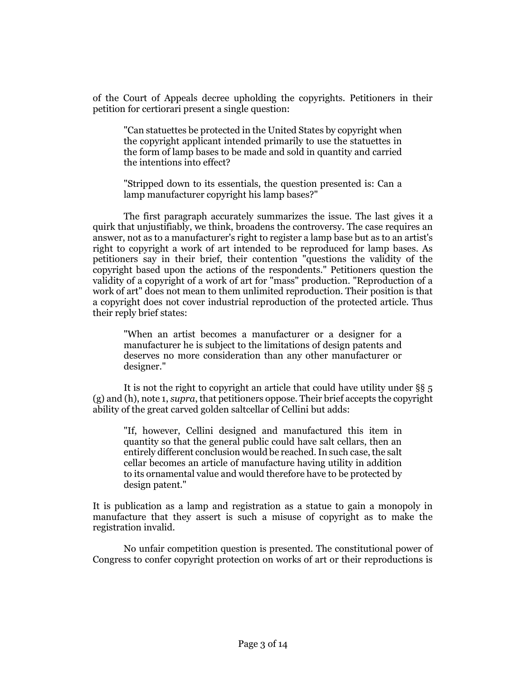of the Court of Appeals decree upholding the copyrights. Petitioners in their petition for certiorari present a single question:

"Can statuettes be protected in the United States by copyright when the copyright applicant intended primarily to use the statuettes in the form of lamp bases to be made and sold in quantity and carried the intentions into effect?

"Stripped down to its essentials, the question presented is: Can a lamp manufacturer copyright his lamp bases?"

The first paragraph accurately summarizes the issue. The last gives it a quirk that unjustifiably, we think, broadens the controversy. The case requires an answer, not as to a manufacturer's right to register a lamp base but as to an artist's right to copyright a work of art intended to be reproduced for lamp bases. As petitioners say in their brief, their contention "questions the validity of the copyright based upon the actions of the respondents." Petitioners question the validity of a copyright of a work of art for "mass" production. "Reproduction of a work of art" does not mean to them unlimited reproduction. Their position is that a copyright does not cover industrial reproduction of the protected article. Thus their reply brief states:

"When an artist becomes a manufacturer or a designer for a manufacturer he is subject to the limitations of design patents and deserves no more consideration than any other manufacturer or designer."

It is not the right to copyright an article that could have utility under §§ 5 (g) and (h), note 1, *supra*, that petitioners oppose. Their brief accepts the copyright ability of the great carved golden saltcellar of Cellini but adds:

"If, however, Cellini designed and manufactured this item in quantity so that the general public could have salt cellars, then an entirely different conclusion would be reached. In such case, the salt cellar becomes an article of manufacture having utility in addition to its ornamental value and would therefore have to be protected by design patent."

It is publication as a lamp and registration as a statue to gain a monopoly in manufacture that they assert is such a misuse of copyright as to make the registration invalid.

No unfair competition question is presented. The constitutional power of Congress to confer copyright protection on works of art or their reproductions is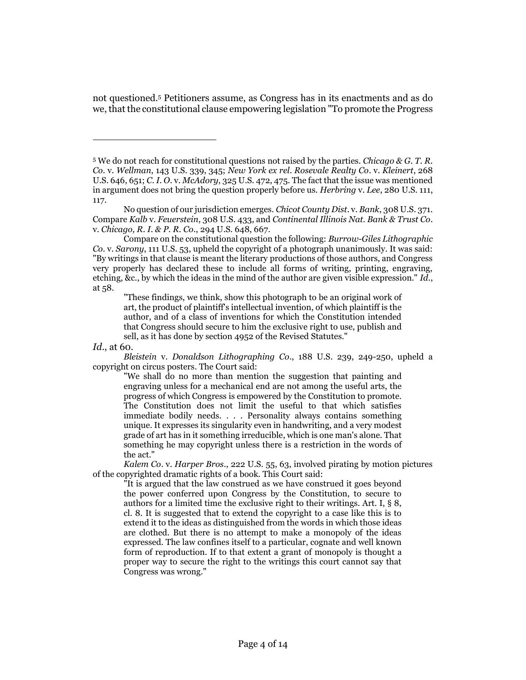not questioned.<sup>5</sup> Petitioners assume, as Congress has in its enactments and as do we, that the constitutional clause empowering legislation "To promote the Progress

 $\overline{a}$ 

*Bleistein* v. *Donaldson Lithographing Co*., 188 U.S. 239, 249-250, upheld a copyright on circus posters. The Court said:

*Kalem Co*. v. *Harper Bros*., 222 U.S. 55, 63, involved pirating by motion pictures of the copyrighted dramatic rights of a book. This Court said:

"It is argued that the law construed as we have construed it goes beyond the power conferred upon Congress by the Constitution, to secure to authors for a limited time the exclusive right to their writings. Art. I, § 8, cl. 8. It is suggested that to extend the copyright to a case like this is to extend it to the ideas as distinguished from the words in which those ideas are clothed. But there is no attempt to make a monopoly of the ideas expressed. The law confines itself to a particular, cognate and well known form of reproduction. If to that extent a grant of monopoly is thought a proper way to secure the right to the writings this court cannot say that Congress was wrong."

<sup>5</sup> We do not reach for constitutional questions not raised by the parties. *Chicago & G. T. R. Co*. v. *Wellman*, 143 U.S. 339, 345; *New York ex rel. Rosevale Realty Co*. v. *Kleinert*, 268 U.S. 646, 651; *C. I. O*. v. *McAdory*, 325 U.S. 472, 475. The fact that the issue was mentioned in argument does not bring the question properly before us. *Herbring* v. *Lee*, 280 U.S. 111, 117.

No question of our jurisdiction emerges. *Chicot County Dist*. v. *Bank*, 308 U.S. 371. Compare *Kalb* v. *Feuerstein*, 308 U.S. 433, and *Continental Illinois Nat. Bank & Trust Co*. v. *Chicago, R. I. & P. R. Co*., 294 U.S. 648, 667.

Compare on the constitutional question the following: *Burrow-Giles Lithographic Co*. v. *Sarony*, 111 U.S. 53, upheld the copyright of a photograph unanimously. It was said: "By writings in that clause is meant the literary productions of those authors, and Congress very properly has declared these to include all forms of writing, printing, engraving, etching, &c., by which the ideas in the mind of the author are given visible expression." *Id*., at 58.

<sup>&</sup>quot;These findings, we think, show this photograph to be an original work of art, the product of plaintiff's intellectual invention, of which plaintiff is the author, and of a class of inventions for which the Constitution intended that Congress should secure to him the exclusive right to use, publish and sell, as it has done by section 4952 of the Revised Statutes."

*Id*., at 60.

<sup>&</sup>quot;We shall do no more than mention the suggestion that painting and engraving unless for a mechanical end are not among the useful arts, the progress of which Congress is empowered by the Constitution to promote. The Constitution does not limit the useful to that which satisfies immediate bodily needs. . . . Personality always contains something unique. It expresses its singularity even in handwriting, and a very modest grade of art has in it something irreducible, which is one man's alone. That something he may copyright unless there is a restriction in the words of the act."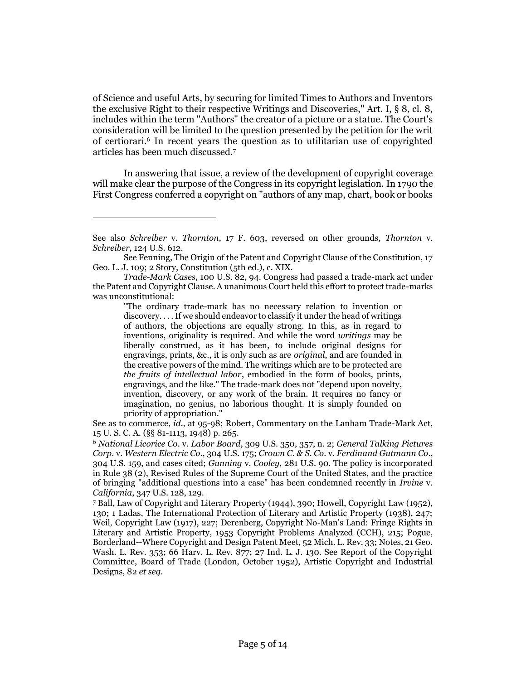of Science and useful Arts, by securing for limited Times to Authors and Inventors the exclusive Right to their respective Writings and Discoveries," Art. I, § 8, cl. 8, includes within the term "Authors" the creator of a picture or a statue. The Court's consideration will be limited to the question presented by the petition for the writ of certiorari.<sup>6</sup> In recent years the question as to utilitarian use of copyrighted articles has been much discussed.<sup>7</sup>

In answering that issue, a review of the development of copyright coverage will make clear the purpose of the Congress in its copyright legislation. In 1790 the First Congress conferred a copyright on "authors of any map, chart, book or books

 $\overline{a}$ 

"The ordinary trade-mark has no necessary relation to invention or discovery. . . . If we should endeavor to classify it under the head of writings of authors, the objections are equally strong. In this, as in regard to inventions, originality is required. And while the word *writings* may be liberally construed, as it has been, to include original designs for engravings, prints, &c., it is only such as are *original*, and are founded in the creative powers of the mind. The writings which are to be protected are *the fruits of intellectual labor*, embodied in the form of books, prints, engravings, and the like." The trade-mark does not "depend upon novelty, invention, discovery, or any work of the brain. It requires no fancy or imagination, no genius, no laborious thought. It is simply founded on priority of appropriation."

See as to commerce, *id*., at 95-98; Robert, Commentary on the Lanham Trade-Mark Act, 15 U. S. C. A. (§§ 81-1113, 1948) p. 265.

See also *Schreiber* v. *Thornton*, 17 F. 603, reversed on other grounds, *Thornton* v. *Schreiber*, 124 U.S. 612.

See Fenning, The Origin of the Patent and Copyright Clause of the Constitution, 17 Geo. L. J. 109; 2 Story, Constitution (5th ed.), c. XIX.

*Trade-Mark Cases*, 100 U.S. 82, 94. Congress had passed a trade-mark act under the Patent and Copyright Clause. A unanimous Court held this effort to protect trade-marks was unconstitutional:

<sup>6</sup> *National Licorice Co*. v. *Labor Board*, 309 U.S. 350, 357, n. 2; *General Talking Pictures Corp*. v. *Western Electric Co*., 304 U.S. 175; *Crown C. & S. Co*. v. *Ferdinand Gutmann Co*., 304 U.S. 159, and cases cited; *Gunning* v. *Cooley*, 281 U.S. 90. The policy is incorporated in Rule 38 (2), Revised Rules of the Supreme Court of the United States, and the practice of bringing "additional questions into a case" has been condemned recently in *Irvine* v. *California*, 347 U.S. 128, 129.

<sup>7</sup> Ball, Law of Copyright and Literary Property (1944), 390; Howell, Copyright Law (1952), 130; 1 Ladas, The International Protection of Literary and Artistic Property (1938), 247; Weil, Copyright Law (1917), 227; Derenberg, Copyright No-Man's Land: Fringe Rights in Literary and Artistic Property, 1953 Copyright Problems Analyzed (CCH), 215; Pogue, Borderland--Where Copyright and Design Patent Meet, 52 Mich. L. Rev. 33; Notes, 21 Geo. Wash. L. Rev. 353; 66 Harv. L. Rev. 877; 27 Ind. L. J. 130. See Report of the Copyright Committee, Board of Trade (London, October 1952), Artistic Copyright and Industrial Designs, 82 *et seq*.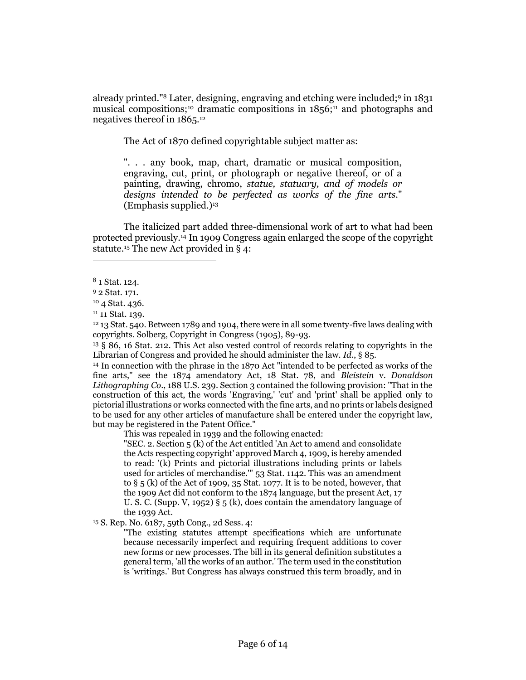already printed."<sup>8</sup> Later, designing, engraving and etching were included;<sup>9</sup> in 1831 musical compositions;<sup>10</sup> dramatic compositions in 1856;<sup>11</sup> and photographs and negatives thereof in 1865.<sup>12</sup>

The Act of 1870 defined copyrightable subject matter as:

". . . any book, map, chart, dramatic or musical composition, engraving, cut, print, or photograph or negative thereof, or of a painting, drawing, chromo, *statue, statuary, and of models or designs intended to be perfected as works of the fine arts*."  $E$ mphasis supplied.)<sup>13</sup>

The italicized part added three-dimensional work of art to what had been protected previously.<sup>14</sup> In 1909 Congress again enlarged the scope of the copyright statute.<sup>15</sup> The new Act provided in § 4:

 $\overline{a}$ 

 $12$  13 Stat. 540. Between 1789 and 1904, there were in all some twenty-five laws dealing with copyrights. Solberg, Copyright in Congress (1905), 89-93.

<sup>13</sup> § 86, 16 Stat. 212. This Act also vested control of records relating to copyrights in the Librarian of Congress and provided he should administer the law. *Id*., § 85.

<sup>14</sup> In connection with the phrase in the 1870 Act "intended to be perfected as works of the fine arts," see the 1874 amendatory Act, 18 Stat. 78, and *Bleistein* v. *Donaldson Lithographing Co*., 188 U.S. 239. Section 3 contained the following provision: "That in the construction of this act, the words 'Engraving,' 'cut' and 'print' shall be applied only to pictorial illustrations or works connected with the fine arts, and no prints or labels designed to be used for any other articles of manufacture shall be entered under the copyright law, but may be registered in the Patent Office."

This was repealed in 1939 and the following enacted:

"SEC. 2. Section 5 (k) of the Act entitled 'An Act to amend and consolidate the Acts respecting copyright' approved March 4, 1909, is hereby amended to read: '(k) Prints and pictorial illustrations including prints or labels used for articles of merchandise.'" 53 Stat. 1142. This was an amendment to § 5 (k) of the Act of 1909, 35 Stat. 1077. It is to be noted, however, that the 1909 Act did not conform to the 1874 language, but the present Act, 17 U. S. C. (Supp. V, 1952) § 5 (k), does contain the amendatory language of the 1939 Act.

<sup>15</sup> S. Rep. No. 6187, 59th Cong., 2d Sess. 4:

"The existing statutes attempt specifications which are unfortunate because necessarily imperfect and requiring frequent additions to cover new forms or new processes. The bill in its general definition substitutes a general term, 'all the works of an author.' The term used in the constitution is 'writings.' But Congress has always construed this term broadly, and in

<sup>8</sup> 1 Stat. 124.

<sup>9</sup> 2 Stat. 171.

<sup>10</sup> 4 Stat. 436.

<sup>&</sup>lt;sup>11</sup> 11 Stat. 139.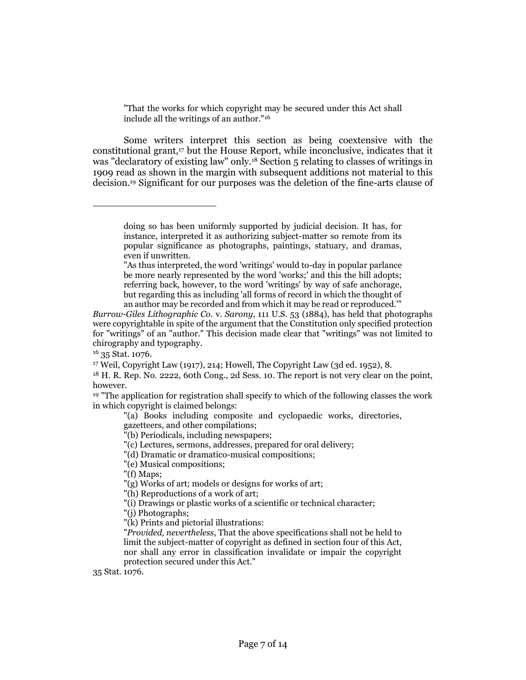"That the works for which copyright may be secured under this Act shall include all the writings of an author."<sup>16</sup>

Some writers interpret this section as being coextensive with the constitutional grant,<sup>17</sup> but the House Report, while inconclusive, indicates that it was "declaratory of existing law" only.<sup>18</sup> Section 5 relating to classes of writings in 1909 read as shown in the margin with subsequent additions not material to this decision.<sup>19</sup> Significant for our purposes was the deletion of the fine-arts clause of

*Burrow-Giles Lithographic Co*. v. *Sarony*, 111 U.S. 53 (1884), has held that photographs were copyrightable in spite of the argument that the Constitution only specified protection for "writings" of an "author." This decision made clear that "writings" was not limited to chirography and typography.

<sup>16</sup> 35 Stat. 1076.

 $\overline{a}$ 

<sup>17</sup> Weil, Copyright Law (1917), 214; Howell, The Copyright Law (3d ed. 1952), 8.

<sup>19</sup> "The application for registration shall specify to which of the following classes the work in which copyright is claimed belongs:

"(a) Books including composite and cyclopaedic works, directories,

gazetteers, and other compilations;

"(b) Periodicals, including newspapers;

"(c) Lectures, sermons, addresses, prepared for oral delivery;

"(d) Dramatic or dramatico-musical compositions;

"(e) Musical compositions;

"(f) Maps;

"(g) Works of art; models or designs for works of art;

"(h) Reproductions of a work of art;

"(i) Drawings or plastic works of a scientific or technical character;

"(j) Photographs;

"(k) Prints and pictorial illustrations:

"*Provided, nevertheless*, That the above specifications shall not be held to limit the subject-matter of copyright as defined in section four of this Act, nor shall any error in classification invalidate or impair the copyright protection secured under this Act."

35 Stat. 1076.

doing so has been uniformly supported by judicial decision. It has, for instance, interpreted it as authorizing subject-matter so remote from its popular significance as photographs, paintings, statuary, and dramas, even if unwritten.

<sup>&</sup>quot;As thus interpreted, the word 'writings' would to-day in popular parlance be more nearly represented by the word 'works;' and this the bill adopts; referring back, however, to the word 'writings' by way of safe anchorage, but regarding this as including 'all forms of record in which the thought of an author may be recorded and from which it may be read or reproduced.'"

<sup>&</sup>lt;sup>18</sup> H. R. Rep. No. 2222, 60th Cong., 2d Sess. 10. The report is not very clear on the point, however.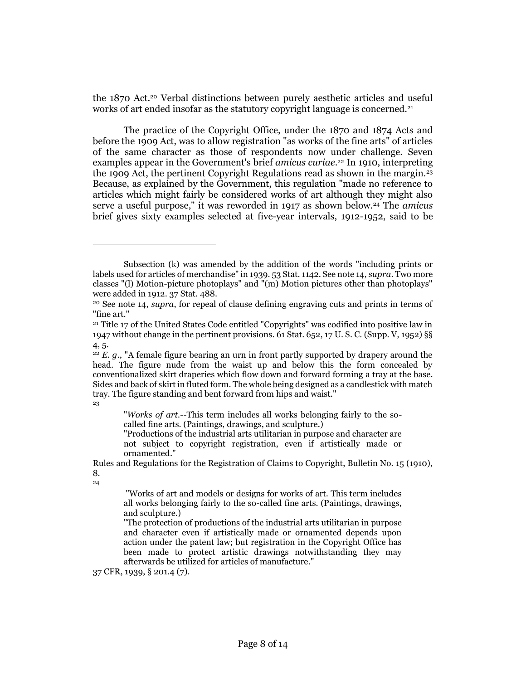the 1870 Act.<sup>20</sup> Verbal distinctions between purely aesthetic articles and useful works of art ended insofar as the statutory copyright language is concerned.<sup>21</sup>

The practice of the Copyright Office, under the 1870 and 1874 Acts and before the 1909 Act, was to allow registration "as works of the fine arts" of articles of the same character as those of respondents now under challenge. Seven examples appear in the Government's brief *amicus curiae*. <sup>22</sup> In 1910, interpreting the 1909 Act, the pertinent Copyright Regulations read as shown in the margin.<sup>23</sup> Because, as explained by the Government, this regulation "made no reference to articles which might fairly be considered works of art although they might also serve a useful purpose," it was reworded in 1917 as shown below.<sup>24</sup> The *amicus* brief gives sixty examples selected at five-year intervals, 1912-1952, said to be

 $\overline{a}$ 

37 CFR, 1939, § 201.4 (7).

Subsection (k) was amended by the addition of the words "including prints or labels used for articles of merchandise" in 1939. 53 Stat. 1142. See note 14, *supra*. Two more classes "(l) Motion-picture photoplays" and "(m) Motion pictures other than photoplays" were added in 1912. 37 Stat. 488.

<sup>20</sup> See note 14, *supra*, for repeal of clause defining engraving cuts and prints in terms of "fine art."

<sup>21</sup> Title 17 of the United States Code entitled "Copyrights" was codified into positive law in 1947 without change in the pertinent provisions. 61 Stat. 652, 17 U. S. C. (Supp. V, 1952) §§ 4, 5.

<sup>22</sup> *E. g*., "A female figure bearing an urn in front partly supported by drapery around the head. The figure nude from the waist up and below this the form concealed by conventionalized skirt draperies which flow down and forward forming a tray at the base. Sides and back of skirt in fluted form. The whole being designed as a candlestick with match tray. The figure standing and bent forward from hips and waist."

<sup>23</sup>

<sup>&</sup>quot;*Works of art.*--This term includes all works belonging fairly to the socalled fine arts. (Paintings, drawings, and sculpture.)

<sup>&</sup>quot;Productions of the industrial arts utilitarian in purpose and character are not subject to copyright registration, even if artistically made or ornamented."

Rules and Regulations for the Registration of Claims to Copyright, Bulletin No. 15 (1910), 8.

<sup>24</sup>

<sup>&</sup>quot;Works of art and models or designs for works of art. This term includes all works belonging fairly to the so-called fine arts. (Paintings, drawings, and sculpture.)

<sup>&</sup>quot;The protection of productions of the industrial arts utilitarian in purpose and character even if artistically made or ornamented depends upon action under the patent law; but registration in the Copyright Office has been made to protect artistic drawings notwithstanding they may afterwards be utilized for articles of manufacture."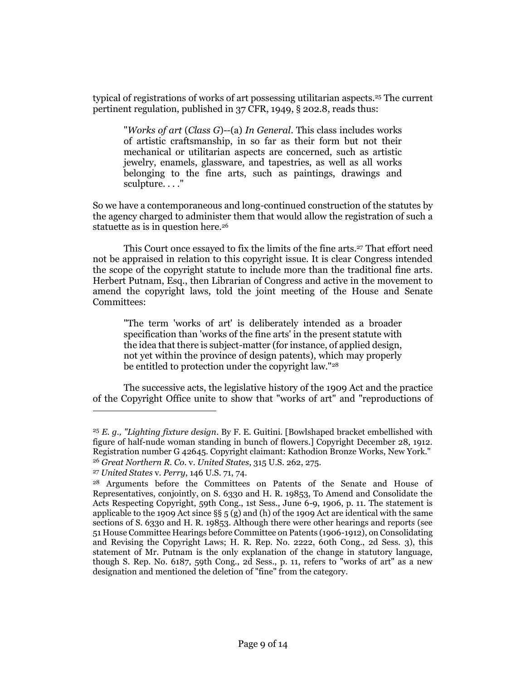typical of registrations of works of art possessing utilitarian aspects.<sup>25</sup> The current pertinent regulation, published in 37 CFR, 1949, § 202.8, reads thus:

"*Works of art* (*Class G*)--(a) *In General*. This class includes works of artistic craftsmanship, in so far as their form but not their mechanical or utilitarian aspects are concerned, such as artistic jewelry, enamels, glassware, and tapestries, as well as all works belonging to the fine arts, such as paintings, drawings and sculpture. . . ."

So we have a contemporaneous and long-continued construction of the statutes by the agency charged to administer them that would allow the registration of such a statuette as is in question here.<sup>26</sup>

This Court once essayed to fix the limits of the fine arts.<sup>27</sup> That effort need not be appraised in relation to this copyright issue. It is clear Congress intended the scope of the copyright statute to include more than the traditional fine arts. Herbert Putnam, Esq., then Librarian of Congress and active in the movement to amend the copyright laws, told the joint meeting of the House and Senate Committees:

"The term 'works of art' is deliberately intended as a broader specification than 'works of the fine arts' in the present statute with the idea that there is subject-matter (for instance, of applied design, not yet within the province of design patents), which may properly be entitled to protection under the copyright law."<sup>28</sup>

The successive acts, the legislative history of the 1909 Act and the practice of the Copyright Office unite to show that "works of art" and "reproductions of

l

<sup>25</sup> *E. g., "Lighting fixture design*. By F. E. Guitini. [Bowlshaped bracket embellished with figure of half-nude woman standing in bunch of flowers.] Copyright December 28, 1912. Registration number G 42645. Copyright claimant: Kathodion Bronze Works, New York." <sup>26</sup> *Great Northern R. Co*. v. *United States*, 315 U.S. 262, 275.

<sup>27</sup> *United States* v. *Perry*, 146 U.S. 71, 74.

<sup>28</sup> Arguments before the Committees on Patents of the Senate and House of Representatives, conjointly, on S. 6330 and H. R. 19853, To Amend and Consolidate the Acts Respecting Copyright, 59th Cong., 1st Sess., June 6-9, 1906, p. 11. The statement is applicable to the 1909 Act since  $\S$  5 (g) and (h) of the 1909 Act are identical with the same sections of S. 6330 and H. R. 19853. Although there were other hearings and reports (see 51 House Committee Hearings before Committee on Patents (1906-1912), on Consolidating and Revising the Copyright Laws; H. R. Rep. No. 2222, 60th Cong., 2d Sess. 3), this statement of Mr. Putnam is the only explanation of the change in statutory language, though S. Rep. No. 6187, 59th Cong., 2d Sess., p. 11, refers to "works of art" as a new designation and mentioned the deletion of "fine" from the category.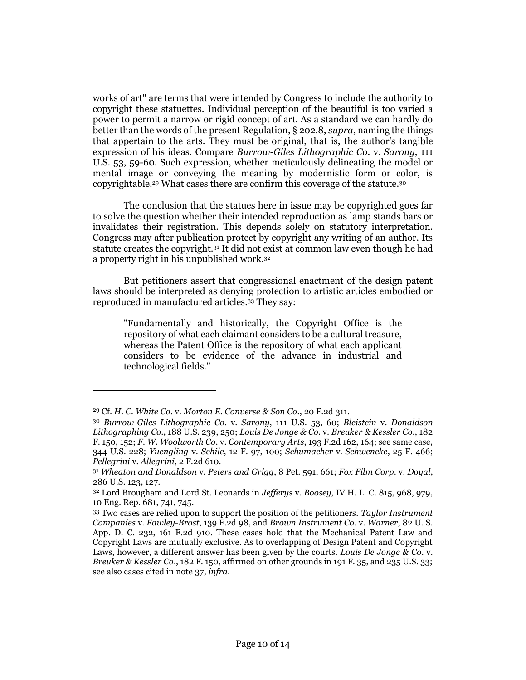works of art" are terms that were intended by Congress to include the authority to copyright these statuettes. Individual perception of the beautiful is too varied a power to permit a narrow or rigid concept of art. As a standard we can hardly do better than the words of the present Regulation, § 202.8, *supra*, naming the things that appertain to the arts. They must be original, that is, the author's tangible expression of his ideas. Compare *Burrow-Giles Lithographic Co*. v. *Sarony*, 111 U.S. 53, 59-60. Such expression, whether meticulously delineating the model or mental image or conveying the meaning by modernistic form or color, is copyrightable.<sup>29</sup> What cases there are confirm this coverage of the statute.<sup>30</sup>

The conclusion that the statues here in issue may be copyrighted goes far to solve the question whether their intended reproduction as lamp stands bars or invalidates their registration. This depends solely on statutory interpretation. Congress may after publication protect by copyright any writing of an author. Its statute creates the copyright.<sup>31</sup> It did not exist at common law even though he had a property right in his unpublished work.<sup>32</sup>

But petitioners assert that congressional enactment of the design patent laws should be interpreted as denying protection to artistic articles embodied or reproduced in manufactured articles.<sup>33</sup> They say:

"Fundamentally and historically, the Copyright Office is the repository of what each claimant considers to be a cultural treasure, whereas the Patent Office is the repository of what each applicant considers to be evidence of the advance in industrial and technological fields."

<sup>29</sup> Cf. *H. C. White Co*. v. *Morton E. Converse & Son Co*., 20 F.2d 311.

<sup>30</sup> *Burrow-Giles Lithographic Co*. v. *Sarony*, 111 U.S. 53, 60; *Bleistein* v. *Donaldson Lithographing Co*., 188 U.S. 239, 250; *Louis De Jonge & Co*. v. *Breuker & Kessler Co*., 182 F. 150, 152; *F. W. Woolworth Co*. v. *Contemporary Arts*, 193 F.2d 162, 164; see same case, 344 U.S. 228; *Yuengling* v. *Schile*, 12 F. 97, 100; *Schumacher* v. *Schwencke*, 25 F. 466; *Pellegrini* v. *Allegrini*, 2 F.2d 610.

<sup>31</sup> *Wheaton and Donaldson* v. *Peters and Grigg*, 8 Pet. 591, 661; *Fox Film Corp*. v. *Doyal*, 286 U.S. 123, 127.

<sup>32</sup> Lord Brougham and Lord St. Leonards in *Jefferys* v. *Boosey*, IV H. L. C. 815, 968, 979, 10 Eng. Rep. 681, 741, 745.

<sup>33</sup> Two cases are relied upon to support the position of the petitioners. *Taylor Instrument Companies* v. *Fawley-Brost*, 139 F.2d 98, and *Brown Instrument Co*. v. *Warner*, 82 U. S. App. D. C. 232, 161 F.2d 910. These cases hold that the Mechanical Patent Law and Copyright Laws are mutually exclusive. As to overlapping of Design Patent and Copyright Laws, however, a different answer has been given by the courts. *Louis De Jonge & Co*. v. *Breuker & Kessler Co*., 182 F. 150, affirmed on other grounds in 191 F. 35, and 235 U.S. 33; see also cases cited in note 37, *infra*.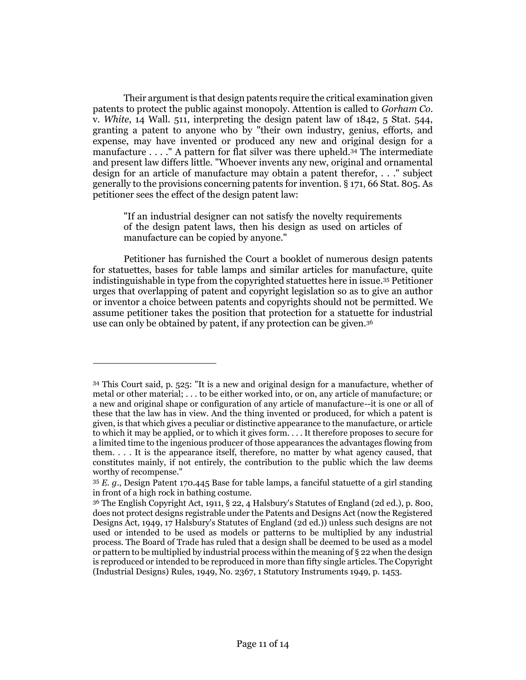Their argument is that design patents require the critical examination given patents to protect the public against monopoly. Attention is called to *Gorham Co*. v. *White*, 14 Wall. 511, interpreting the design patent law of 1842, 5 Stat. 544, granting a patent to anyone who by "their own industry, genius, efforts, and expense, may have invented or produced any new and original design for a manufacture . . . ." A pattern for flat silver was there upheld.<sup>34</sup> The intermediate and present law differs little. "Whoever invents any new, original and ornamental design for an article of manufacture may obtain a patent therefor, . . ." subject generally to the provisions concerning patents for invention. § 171, 66 Stat. 805. As petitioner sees the effect of the design patent law:

"If an industrial designer can not satisfy the novelty requirements of the design patent laws, then his design as used on articles of manufacture can be copied by anyone."

Petitioner has furnished the Court a booklet of numerous design patents for statuettes, bases for table lamps and similar articles for manufacture, quite indistinguishable in type from the copyrighted statuettes here in issue.<sup>35</sup> Petitioner urges that overlapping of patent and copyright legislation so as to give an author or inventor a choice between patents and copyrights should not be permitted. We assume petitioner takes the position that protection for a statuette for industrial use can only be obtained by patent, if any protection can be given.<sup>36</sup>

<sup>34</sup> This Court said, p. 525: "It is a new and original design for a manufacture, whether of metal or other material; . . . to be either worked into, or on, any article of manufacture; or a new and original shape or configuration of any article of manufacture--it is one or all of these that the law has in view. And the thing invented or produced, for which a patent is given, is that which gives a peculiar or distinctive appearance to the manufacture, or article to which it may be applied, or to which it gives form. . . . It therefore proposes to secure for a limited time to the ingenious producer of those appearances the advantages flowing from them. . . . It is the appearance itself, therefore, no matter by what agency caused, that constitutes mainly, if not entirely, the contribution to the public which the law deems worthy of recompense."

<sup>35</sup> *E. g*., Design Patent 170.445 Base for table lamps, a fanciful statuette of a girl standing in front of a high rock in bathing costume.

<sup>36</sup> The English Copyright Act, 1911, § 22, 4 Halsbury's Statutes of England (2d ed.), p. 800, does not protect designs registrable under the Patents and Designs Act (now the Registered Designs Act, 1949, 17 Halsbury's Statutes of England (2d ed.)) unless such designs are not used or intended to be used as models or patterns to be multiplied by any industrial process. The Board of Trade has ruled that a design shall be deemed to be used as a model or pattern to be multiplied by industrial process within the meaning of § 22 when the design is reproduced or intended to be reproduced in more than fifty single articles. The Copyright (Industrial Designs) Rules, 1949, No. 2367, 1 Statutory Instruments 1949, p. 1453.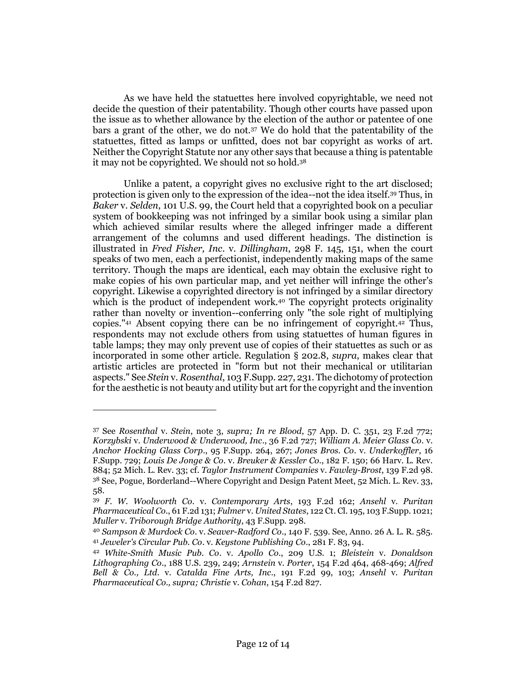As we have held the statuettes here involved copyrightable, we need not decide the question of their patentability. Though other courts have passed upon the issue as to whether allowance by the election of the author or patentee of one bars a grant of the other, we do not.<sup>37</sup> We do hold that the patentability of the statuettes, fitted as lamps or unfitted, does not bar copyright as works of art. Neither the Copyright Statute nor any other says that because a thing is patentable it may not be copyrighted. We should not so hold.<sup>38</sup>

Unlike a patent, a copyright gives no exclusive right to the art disclosed; protection is given only to the expression of the idea--not the idea itself.<sup>39</sup> Thus, in *Baker* v. *Selden*, 101 U.S. 99, the Court held that a copyrighted book on a peculiar system of bookkeeping was not infringed by a similar book using a similar plan which achieved similar results where the alleged infringer made a different arrangement of the columns and used different headings. The distinction is illustrated in *Fred Fisher, Inc*. v. *Dillingham*, 298 F. 145, 151, when the court speaks of two men, each a perfectionist, independently making maps of the same territory. Though the maps are identical, each may obtain the exclusive right to make copies of his own particular map, and yet neither will infringe the other's copyright. Likewise a copyrighted directory is not infringed by a similar directory which is the product of independent work.<sup>40</sup> The copyright protects originality rather than novelty or invention--conferring only "the sole right of multiplying copies."<sup>41</sup> Absent copying there can be no infringement of copyright.<sup>42</sup> Thus, respondents may not exclude others from using statuettes of human figures in table lamps; they may only prevent use of copies of their statuettes as such or as incorporated in some other article. Regulation § 202.8, *supra*, makes clear that artistic articles are protected in "form but not their mechanical or utilitarian aspects." See *Stein* v. *Rosenthal*, 103 F.Supp. 227, 231. The dichotomy of protection for the aesthetic is not beauty and utility but art for the copyright and the invention

<sup>37</sup> See *Rosenthal* v. *Stein*, note 3, *supra; In re Blood*, 57 App. D. C. 351, 23 F.2d 772; *Korzybski* v. *Underwood & Underwood, Inc*., 36 F.2d 727; *William A. Meier Glass Co*. v. *Anchor Hocking Glass Corp*., 95 F.Supp. 264, 267; *Jones Bros. Co*. v. *Underkoffler*, 16 F.Supp. 729; *Louis De Jonge & Co*. v. *Breuker & Kessler Co*., 182 F. 150; 66 Harv. L. Rev. 884; 52 Mich. L. Rev. 33; cf. *Taylor Instrument Companies* v. *Fawley-Brost*, 139 F.2d 98. <sup>38</sup> See, Pogue, Borderland--Where Copyright and Design Patent Meet, 52 Mich. L. Rev. 33, 58.

<sup>39</sup> *F. W. Woolworth Co*. v. *Contemporary Arts*, 193 F.2d 162; *Ansehl* v. *Puritan Pharmaceutical Co*., 61 F.2d 131; *Fulmer* v. *United States*, 122 Ct. Cl. 195, 103 F.Supp. 1021; *Muller* v. *Triborough Bridge Authority*, 43 F.Supp. 298.

<sup>40</sup> *Sampson & Murdock Co*. v. *Seaver-Radford Co*., 140 F. 539. See, Anno. 26 A. L. R. 585. <sup>41</sup> *Jeweler's Circular Pub. Co*. v. *Keystone Publishing Co*., 281 F. 83, 94.

<sup>42</sup> *White-Smith Music Pub. Co*. v. *Apollo Co*., 209 U.S. 1; *Bleistein* v. *Donaldson Lithographing Co*., 188 U.S. 239, 249; *Arnstein* v. *Porter*, 154 F.2d 464, 468-469; *Alfred Bell & Co., Ltd*. v. *Catalda Fine Arts, Inc*., 191 F.2d 99, 103; *Ansehl* v. *Puritan Pharmaceutical Co., supra; Christie* v. *Cohan*, 154 F.2d 827.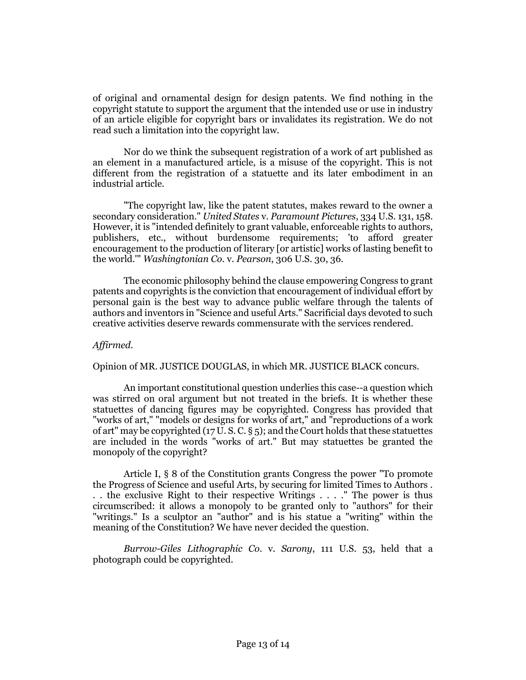of original and ornamental design for design patents. We find nothing in the copyright statute to support the argument that the intended use or use in industry of an article eligible for copyright bars or invalidates its registration. We do not read such a limitation into the copyright law.

Nor do we think the subsequent registration of a work of art published as an element in a manufactured article, is a misuse of the copyright. This is not different from the registration of a statuette and its later embodiment in an industrial article.

"The copyright law, like the patent statutes, makes reward to the owner a secondary consideration." *United States* v. *Paramount Pictures*, 334 U.S. 131, 158. However, it is "intended definitely to grant valuable, enforceable rights to authors, publishers, etc., without burdensome requirements; 'to afford greater encouragement to the production of literary [or artistic] works of lasting benefit to the world.'" *Washingtonian Co*. v. *Pearson*, 306 U.S. 30, 36.

The economic philosophy behind the clause empowering Congress to grant patents and copyrights is the conviction that encouragement of individual effort by personal gain is the best way to advance public welfare through the talents of authors and inventors in "Science and useful Arts." Sacrificial days devoted to such creative activities deserve rewards commensurate with the services rendered.

## *Affirmed.*

Opinion of MR. JUSTICE DOUGLAS, in which MR. JUSTICE BLACK concurs.

An important constitutional question underlies this case--a question which was stirred on oral argument but not treated in the briefs. It is whether these statuettes of dancing figures may be copyrighted. Congress has provided that "works of art," "models or designs for works of art," and "reproductions of a work of art" may be copyrighted (17 U.S.C. § 5); and the Court holds that these statuettes are included in the words "works of art." But may statuettes be granted the monopoly of the copyright?

Article I, § 8 of the Constitution grants Congress the power "To promote the Progress of Science and useful Arts, by securing for limited Times to Authors . . . the exclusive Right to their respective Writings . . . ." The power is thus circumscribed: it allows a monopoly to be granted only to "authors" for their "writings." Is a sculptor an "author" and is his statue a "writing" within the meaning of the Constitution? We have never decided the question.

*Burrow-Giles Lithographic Co*. v. *Sarony*, 111 U.S. 53, held that a photograph could be copyrighted.